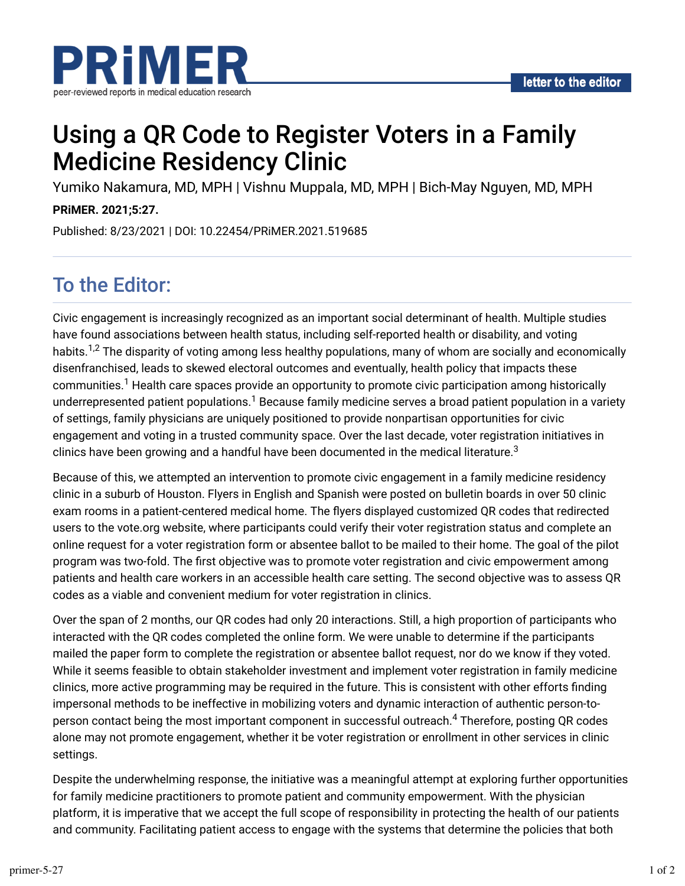

# Using a QR Code to Register Voters in a Family Medicine Residency Clinic

Yumiko Nakamura, MD, MPH | Vishnu Muppala, MD, MPH | Bich-May Nguyen, MD, MPH

#### **PRiMER. 2021;5:27.**

Published: 8/23/2021 | DOI: 10.22454/PRiMER.2021.519685

## To the Editor:

Civic engagement is increasingly recognized as an important social determinant of health. Multiple studies have found associations between health status, including self-reported health or disability, and voting habits.<sup>1,2</sup> The disparity of voting among less healthy populations, many of whom are socially and economically disenfranchised, leads to skewed electoral outcomes and eventually, health policy that impacts these communities. $^1$  Health care spaces provide an opportunity to promote civic participation among historically underrepresented patient populations. $^1$  Because family medicine serves a broad patient population in a variety of settings, family physicians are uniquely positioned to provide nonpartisan opportunities for civic engagement and voting in a trusted community space. Over the last decade, voter registration initiatives in clinics have been growing and a handful have been documented in the medical literature. $^3$ 

Because of this, we attempted an intervention to promote civic engagement in a family medicine residency clinic in a suburb of Houston. Flyers in English and Spanish were posted on bulletin boards in over 50 clinic exam rooms in a patient-centered medical home. The flyers displayed customized QR codes that redirected users to the vote.org website, where participants could verify their voter registration status and complete an online request for a voter registration form or absentee ballot to be mailed to their home. The goal of the pilot program was two-fold. The first objective was to promote voter registration and civic empowerment among patients and health care workers in an accessible health care setting. The second objective was to assess QR codes as a viable and convenient medium for voter registration in clinics.

Over the span of 2 months, our QR codes had only 20 interactions. Still, a high proportion of participants who interacted with the QR codes completed the online form. We were unable to determine if the participants mailed the paper form to complete the registration or absentee ballot request, nor do we know if they voted. While it seems feasible to obtain stakeholder investment and implement voter registration in family medicine clinics, more active programming may be required in the future. This is consistent with other efforts finding impersonal methods to be ineffective in mobilizing voters and dynamic interaction of authentic person-toperson contact being the most important component in successful outreach. $^4$  Therefore, posting QR codes alone may not promote engagement, whether it be voter registration or enrollment in other services in clinic settings.

Despite the underwhelming response, the initiative was a meaningful attempt at exploring further opportunities for family medicine practitioners to promote patient and community empowerment. With the physician platform, it is imperative that we accept the full scope of responsibility in protecting the health of our patients and community. Facilitating patient access to engage with the systems that determine the policies that both